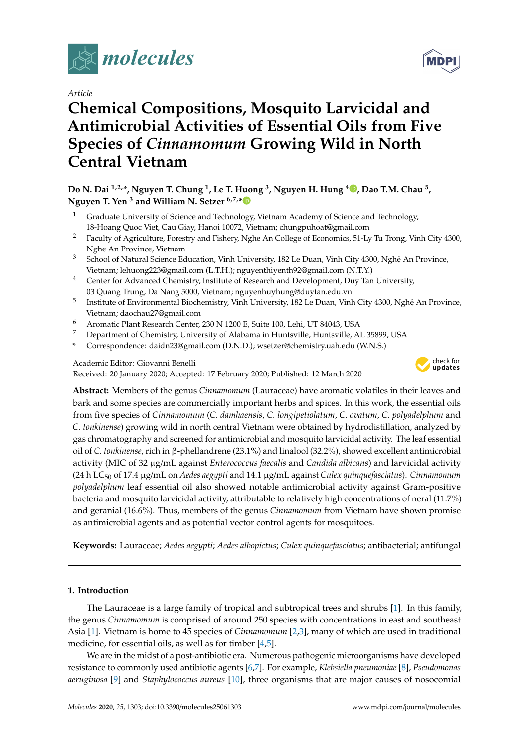

*Article*

# **Chemical Compositions, Mosquito Larvicidal and Antimicrobial Activities of Essential Oils from Five Species of** *Cinnamomum* **Growing Wild in North Central Vietnam**

**Do N. Dai 1,2,\*, Nguyen T. Chung <sup>1</sup> , Le T. Huong <sup>3</sup> , Nguyen H. Hung <sup>4</sup> [,](https://orcid.org/0000-0003-4762-741X) Dao T.M. Chau <sup>5</sup> , Nguyen T. Yen <sup>3</sup> and William N. Setzer 6,7,[\\*](https://orcid.org/0000-0002-3639-0528)**

- <sup>1</sup> Graduate University of Science and Technology, Vietnam Academy of Science and Technology, 18-Hoang Quoc Viet, Cau Giay, Hanoi 10072, Vietnam; chungpuhoat@gmail.com
- <sup>2</sup> Faculty of Agriculture, Forestry and Fishery, Nghe An College of Economics, 51-Ly Tu Trong, Vinh City 4300, Nghe An Province, Vietnam
- <sup>3</sup> School of Natural Science Education, Vinh University, 182 Le Duan, Vinh City 4300, Nghê An Province, Vietnam; lehuong223@gmail.com (L.T.H.); nguyenthiyenth92@gmail.com (N.T.Y.)
- <sup>4</sup> Center for Advanced Chemistry, Institute of Research and Development, Duy Tan University, 03 Quang Trung, Da Nang 5000, Vietnam; nguyenhuyhung@duytan.edu.vn
- 5 Institute of Environmental Biochemistry, Vinh University, 182 Le Duan, Vinh City 4300, Nghệ An Province, Vietnam; daochau27@gmail.com
- <sup>6</sup> Aromatic Plant Research Center, 230 N 1200 E, Suite 100, Lehi, UT 84043, USA
- <sup>7</sup> Department of Chemistry, University of Alabama in Huntsville, Huntsville, AL 35899, USA
- **\*** Correspondence: daidn23@gmail.com (D.N.D.); wsetzer@chemistry.uah.edu (W.N.S.)

Academic Editor: Giovanni Benelli

Received: 20 January 2020; Accepted: 17 February 2020; Published: 12 March 2020



**Abstract:** Members of the genus *Cinnamomum* (Lauraceae) have aromatic volatiles in their leaves and bark and some species are commercially important herbs and spices. In this work, the essential oils from five species of *Cinnamomum* (*C. damhaensis*, *C. longipetiolatum*, *C. ovatum*, *C. polyadelphum* and *C. tonkinense*) growing wild in north central Vietnam were obtained by hydrodistillation, analyzed by gas chromatography and screened for antimicrobial and mosquito larvicidal activity. The leaf essential oil of *C. tonkinense*, rich in β-phellandrene (23.1%) and linalool (32.2%), showed excellent antimicrobial activity (MIC of 32 µg/mL against *Enterococcus faecalis* and *Candida albicans*) and larvicidal activity (24 h LC<sup>50</sup> of 17.4 µg/mL on *Aedes aegypti* and 14.1 µg/mL against *Culex quinquefasciatus*). *Cinnamomum polyadelphum* leaf essential oil also showed notable antimicrobial activity against Gram-positive bacteria and mosquito larvicidal activity, attributable to relatively high concentrations of neral (11.7%) and geranial (16.6%). Thus, members of the genus *Cinnamomum* from Vietnam have shown promise as antimicrobial agents and as potential vector control agents for mosquitoes.

**Keywords:** Lauraceae; *Aedes aegypti*; *Aedes albopictus*; *Culex quinquefasciatus*; antibacterial; antifungal

## **1. Introduction**

The Lauraceae is a large family of tropical and subtropical trees and shrubs [\[1\]](#page-8-0). In this family, the genus *Cinnamomum* is comprised of around 250 species with concentrations in east and southeast Asia [\[1\]](#page-8-0). Vietnam is home to 45 species of *Cinnamomum* [\[2](#page-8-1)[,3\]](#page-8-2), many of which are used in traditional medicine, for essential oils, as well as for timber [\[4](#page-8-3)[,5\]](#page-8-4).

We are in the midst of a post-antibiotic era. Numerous pathogenic microorganisms have developed resistance to commonly used antibiotic agents [\[6](#page-8-5)[,7\]](#page-8-6). For example, *Klebsiella pneumoniae* [\[8\]](#page-8-7), *Pseudomonas aeruginosa* [\[9\]](#page-8-8) and *Staphylococcus aureus* [\[10\]](#page-8-9), three organisms that are major causes of nosocomial

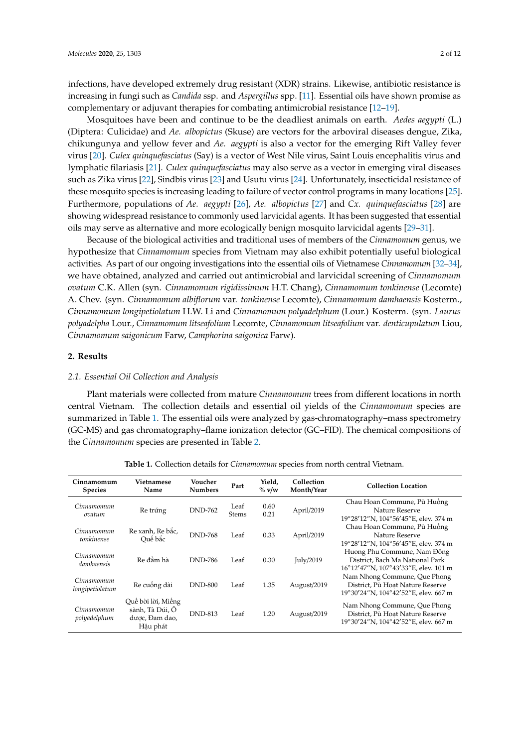infections, have developed extremely drug resistant (XDR) strains. Likewise, antibiotic resistance is increasing in fungi such as *Candida* ssp. and *Aspergillus* spp. [\[11\]](#page-8-10). Essential oils have shown promise as complementary or adjuvant therapies for combating antimicrobial resistance [\[12](#page-8-11)[–19\]](#page-8-12).

Mosquitoes have been and continue to be the deadliest animals on earth. *Aedes aegypti* (L.) (Diptera: Culicidae) and *Ae. albopictus* (Skuse) are vectors for the arboviral diseases dengue, Zika, chikungunya and yellow fever and *Ae. aegypti* is also a vector for the emerging Rift Valley fever virus [\[20\]](#page-8-13). *Culex quinquefasciatus* (Say) is a vector of West Nile virus, Saint Louis encephalitis virus and lymphatic filariasis [\[21\]](#page-8-14). *Culex quinquefasciatus* may also serve as a vector in emerging viral diseases such as Zika virus [\[22\]](#page-9-0), Sindbis virus [\[23\]](#page-9-1) and Usutu virus [\[24\]](#page-9-2). Unfortunately, insecticidal resistance of these mosquito species is increasing leading to failure of vector control programs in many locations [\[25\]](#page-9-3). Furthermore, populations of *Ae. aegypti* [\[26\]](#page-9-4), *Ae. albopictus* [\[27\]](#page-9-5) and *Cx. quinquefasciatus* [\[28\]](#page-9-6) are showing widespread resistance to commonly used larvicidal agents. It has been suggested that essential oils may serve as alternative and more ecologically benign mosquito larvicidal agents [\[29](#page-9-7)[–31\]](#page-9-8).

Because of the biological activities and traditional uses of members of the *Cinnamomum* genus, we hypothesize that *Cinnamomum* species from Vietnam may also exhibit potentially useful biological activities. As part of our ongoing investigations into the essential oils of Vietnamese *Cinnamomum* [\[32–](#page-9-9)[34\]](#page-9-10), we have obtained, analyzed and carried out antimicrobial and larvicidal screening of *Cinnamomum ovatum* C.K. Allen (syn. *Cinnamomum rigidissimum* H.T. Chang), *Cinnamomum tonkinense* (Lecomte) A. Chev. (syn. *Cinnamomum albiflorum* var. *tonkinense* Lecomte), *Cinnamomum damhaensis* Kosterm., *Cinnamomum longipetiolatum* H.W. Li and *Cinnamomum polyadelphum* (Lour.) Kosterm. (syn. *Laurus polyadelpha* Lour., *Cinnamomum litseafolium* Lecomte, *Cinnamomum litseafolium* var. *denticupulatum* Liou, *Cinnamomum saigonicum* Farw, *Camphorina saigonica* Farw).

#### **2. Results**

#### *2.1. Essential Oil Collection and Analysis*

Plant materials were collected from mature *Cinnamomum* trees from different locations in north central Vietnam. The collection details and essential oil yields of the *Cinnamomum* species are summarized in Table [1.](#page-1-0) The essential oils were analyzed by gas-chromatography–mass spectrometry (GC-MS) and gas chromatography–flame ionization detector (GC–FID). The chemical compositions of the *Cinnamomum* species are presented in Table [2.](#page-3-0)

<span id="page-1-0"></span>

| Cinnamomum<br><b>Species</b>    | <b>Vietnamese</b><br>Name                                           | Voucher<br><b>Numbers</b> | Part                 | Yield.<br>$\%$ v/w | Collection<br>Month/Year | <b>Collection Location</b>                                                                               |
|---------------------------------|---------------------------------------------------------------------|---------------------------|----------------------|--------------------|--------------------------|----------------------------------------------------------------------------------------------------------|
| Cinnamomum<br>ovatum            | Re trứng                                                            | <b>DND-762</b>            | Leaf<br><b>Stems</b> | 0.60<br>0.21       | April/2019               | Chau Hoan Commune, Pù Huông<br>Nature Reserve<br>19°28'12"N, 104°56'45"E, elev. 374 m                    |
| Cinnamomum<br><i>tonkinense</i> | Re xanh, Re bắc,<br>Ouế bắc                                         | <b>DND-768</b>            | Leaf                 | 0.33               | April/2019               | Chau Hoan Commune, Pù Huống<br>Nature Reserve<br>19°28'12"N, 104°56'45"E, elev. 374 m                    |
| Cinnamomum<br>damhaensis        | Re đầm hà                                                           | <b>DND-786</b>            | Leaf                 | 0.30               | July/2019                | Huong Phu Commune, Nam Đông<br>District, Bach Ma National Park<br>16°12'47"N, 107°43'33"E, elev. 101 m   |
| Cinnamomum<br>longipetiolatum   | Re cuống dài                                                        | <b>DND-800</b>            | Leaf                 | 1.35               | August/2019              | Nam Nhong Commune, Que Phong<br>District, Pù Hoat Nature Reserve<br>19°30'24"N, 104°42'52"E, elev. 667 m |
| Cinnamomum<br>polyadelphum      | Quế bời lời, Miếng<br>sành, Tà Dúi, Ô<br>dược, Đam dao,<br>Hâu phát | <b>DND-813</b>            | Leaf                 | 1.20               | August/2019              | Nam Nhong Commune, Que Phong<br>District, Pù Hoat Nature Reserve<br>19°30'24"N, 104°42'52"E, elev. 667 m |

**Table 1.** Collection details for *Cinnamomum* species from north central Vietnam.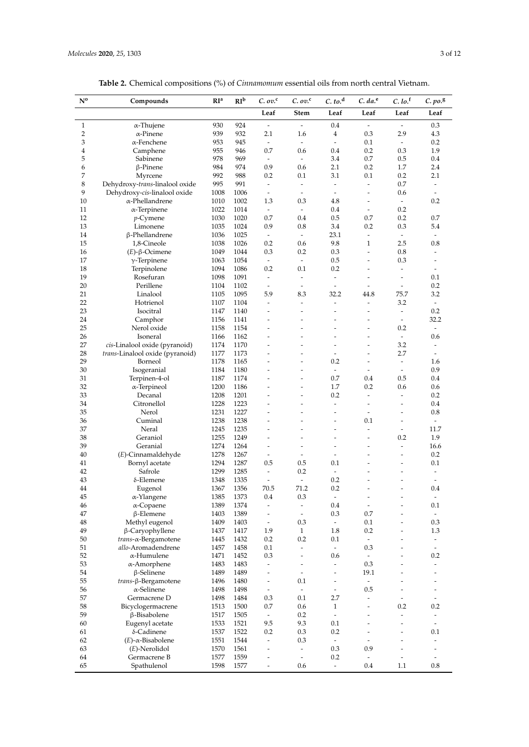| <b>Table 2.</b> Chemical compositions (%) of <i>Cinnamomum</i> essential oils from north central Vietnam. |
|-----------------------------------------------------------------------------------------------------------|
|-----------------------------------------------------------------------------------------------------------|

| $N^{o}$             | Compounds                                       | RI <sup>a</sup> | RI <sup>b</sup> | $C. ov.$ <sup>c</sup>                      | C. ov. <sup>c</sup>                                  | C. to. <sup>d</sup>                                  | $C. da.$ <sup>e</sup>          | C.10. <sup>f</sup>                         | $C. po.$ <sup>g</sup>          |
|---------------------|-------------------------------------------------|-----------------|-----------------|--------------------------------------------|------------------------------------------------------|------------------------------------------------------|--------------------------------|--------------------------------------------|--------------------------------|
|                     |                                                 |                 |                 | Leaf                                       | <b>Stem</b>                                          | Leaf                                                 | Leaf                           | Leaf                                       | Leaf                           |
| $\mathbf{1}$        | α-Thujene                                       | 930             | 924             | $\overline{\phantom{a}}$                   | $\frac{1}{2}$                                        | 0.4                                                  | $\overline{\phantom{a}}$       | $\overline{\phantom{a}}$                   | 0.3                            |
| $\overline{2}$      | $\alpha$ -Pinene                                | 939             | 932             | 2.1                                        | 1.6                                                  | $\overline{4}$                                       | 0.3                            | 2.9                                        | 4.3                            |
| 3                   | $\alpha$ -Fenchene                              | 953             | 945             | $\overline{\phantom{a}}$                   | $\frac{1}{2}$                                        | $\overline{\phantom{a}}$                             | 0.1                            | $\overline{\phantom{a}}$                   | 0.2                            |
| $\overline{4}$<br>5 | Camphene<br>Sabinene                            | 955<br>978      | 946<br>969      | 0.7<br>$\overline{\phantom{a}}$            | 0.6<br>ä,                                            | 0.4<br>3.4                                           | 0.2<br>0.7                     | 0.3<br>0.5                                 | 1.9<br>0.4                     |
| 6                   | $\beta$ -Pinene                                 | 984             | 974             | 0.9                                        | 0.6                                                  | 2.1                                                  | 0.2                            | 1.7                                        | 2.4                            |
| 7                   | Myrcene                                         | 992             | 988             | 0.2                                        | 0.1                                                  | 3.1                                                  | 0.1                            | 0.2                                        | 2.1                            |
| 8                   | Dehydroxy-trans-linalool oxide                  | 995             | 991             | $\overline{\phantom{a}}$                   | $\frac{1}{2}$                                        | $\sim$                                               | ä,                             | 0.7                                        | $\overline{a}$                 |
| 9                   | Dehydroxy-cis-linalool oxide                    | 1008            | 1006            | $\overline{\phantom{a}}$                   | ä,                                                   | $\sim$                                               | $\overline{a}$                 | 0.6                                        | $\overline{\phantom{a}}$       |
| 10                  | α-Phellandrene                                  | 1010            | 1002            | 1.3                                        | 0.3                                                  | 4.8                                                  | $\overline{a}$                 | $\overline{\phantom{a}}$                   | 0.2                            |
| 11                  | $\alpha$ -Terpinene                             | 1022            | 1014            | $\overline{\phantom{a}}$                   | $\frac{1}{2}$                                        | 0.4                                                  | ÷                              | 0.2                                        |                                |
| 12<br>13            | $p$ -Cymene<br>Limonene                         | 1030<br>1035    | 1020<br>1024    | 0.7<br>0.9                                 | 0.4<br>0.8                                           | 0.5<br>3.4                                           | 0.7<br>0.2                     | 0.2<br>0.3                                 | 0.7<br>5.4                     |
| 14                  | β-Phellandrene                                  | 1036            | 1025            | $\overline{\phantom{a}}$                   | ä,                                                   | 23.1                                                 | $\overline{\phantom{a}}$       | $\bar{\phantom{a}}$                        | $\overline{\phantom{a}}$       |
| 15                  | 1,8-Cineole                                     | 1038            | 1026            | 0.2                                        | 0.6                                                  | 9.8                                                  | $\mathbf{1}$                   | 2.5                                        | 0.8                            |
| 16                  | $(E)$ -β-Ocimene                                | 1049            | 1044            | 0.3                                        | 0.2                                                  | 0.3                                                  | ÷,                             | 0.8                                        |                                |
| 17                  | $\gamma$ -Terpinene                             | 1063            | 1054            | $\overline{\phantom{a}}$                   | $\overline{\phantom{a}}$                             | 0.5                                                  | $\overline{\phantom{a}}$       | 0.3                                        | $\overline{\phantom{a}}$       |
| 18                  | Terpinolene                                     | 1094            | 1086            | 0.2                                        | 0.1                                                  | 0.2                                                  | $\overline{a}$                 | ÷.                                         | $\sim$                         |
| 19                  | Rosefuran                                       | 1098            | 1091            | $\overline{\phantom{a}}$                   | $\frac{1}{2}$                                        | $\bar{\phantom{a}}$                                  |                                | ÷,                                         | 0.1                            |
| 20                  | Perillene                                       | 1104            | 1102            | $\overline{\phantom{a}}$                   | $\overline{a}$                                       | $\overline{\phantom{a}}$                             | ÷,                             | $\overline{\phantom{a}}$                   | 0.2                            |
| 21                  | Linalool                                        | 1105            | 1095            | 5.9                                        | 8.3                                                  | 32.2                                                 | 44.8                           | 75.7                                       | 3.2                            |
| 22                  | Hotrienol                                       | 1107            | 1104            | ÷,                                         | $\overline{\phantom{a}}$                             | $\frac{1}{2}$                                        |                                | 3.2                                        | $\overline{\phantom{a}}$       |
| 23<br>24            | Isocitral                                       | 1147<br>1156    | 1140<br>1141    | ÷                                          | ۳<br>-                                               | $\overline{a}$<br>$\overline{a}$                     | ÷                              | $\overline{\phantom{a}}$<br>$\blacksquare$ | 0.2<br>32.2                    |
| 25                  | Camphor<br>Nerol oxide                          | 1158            | 1154            |                                            | ۳                                                    |                                                      |                                | 0.2                                        | $\overline{\phantom{a}}$       |
| 26                  | Isoneral                                        | 1166            | 1162            |                                            | ۳                                                    | $\overline{a}$                                       | $\overline{\phantom{a}}$       | $\overline{\phantom{a}}$                   | 0.6                            |
| 27                  | cis-Linalool oxide (pyranoid)                   | 1174            | 1170            |                                            |                                                      |                                                      |                                | 3.2                                        |                                |
| 28                  | trans-Linalool oxide (pyranoid)                 | 1177            | 1173            |                                            | L,                                                   | $\overline{\phantom{a}}$                             |                                | 2.7                                        |                                |
| 29                  | Borneol                                         | 1178            | 1165            | ÷                                          | ۳                                                    | 0.2                                                  | $\overline{\phantom{a}}$       | $\blacksquare$                             | 1.6                            |
| 30                  | Isogeranial                                     | 1184            | 1180            |                                            | -                                                    | $\overline{\phantom{a}}$                             | ۰                              | $\overline{\phantom{0}}$                   | 0.9                            |
| 31                  | Terpinen-4-ol                                   | 1187            | 1174            |                                            | L,                                                   | 0.7                                                  | 0.4                            | 0.5                                        | 0.4                            |
| 32                  | $\alpha$ -Terpineol                             | 1200            | 1186            |                                            | ۳                                                    | 1.7                                                  | 0.2                            | 0.6                                        | 0.6                            |
| 33<br>34            | Decanal<br>Citronellol                          | 1208            | 1201<br>1223    |                                            | -                                                    | 0.2<br>$\overline{\phantom{a}}$                      | ÷,<br>$\overline{\phantom{a}}$ | $\frac{1}{2}$                              | 0.2<br>0.4                     |
| 35                  | Nerol                                           | 1228<br>1231    | 1227            |                                            | -<br>$\overline{a}$                                  | $\sim$                                               | $\overline{a}$                 | $\overline{a}$<br>$\overline{a}$           | 0.8                            |
| 36                  | Cuminal                                         | 1238            | 1238            |                                            | -                                                    | $\overline{\phantom{a}}$                             | 0.1                            | $\overline{a}$                             | $\overline{\phantom{a}}$       |
| 37                  | Neral                                           | 1245            | 1235            |                                            | ۳                                                    | $\overline{\phantom{a}}$                             | ÷,                             | $\overline{\phantom{a}}$                   | 11.7                           |
| 38                  | Geraniol                                        | 1255            | 1249            | ÷                                          | $\overline{a}$                                       | $\rightarrow$                                        | $\overline{\phantom{a}}$       | 0.2                                        | 1.9                            |
| 39                  | Geranial                                        | 1274            | 1264            | ÷                                          | -                                                    | $\overline{a}$                                       |                                | $\overline{\phantom{a}}$                   | 16.6                           |
| 40                  | (E)-Cinnamaldehyde                              | 1278            | 1267            | $\overline{\phantom{a}}$                   | L,                                                   | $\tilde{\phantom{a}}$                                |                                | ۳                                          | 0.2                            |
| 41                  | Bornyl acetate                                  | 1294            | 1287            | 0.5                                        | 0.5                                                  | 0.1                                                  |                                | ۳                                          | 0.1                            |
| 42                  | Safrole                                         | 1299            | 1285            | $\overline{\phantom{a}}$                   | 0.2                                                  | $\omega$                                             |                                |                                            |                                |
| 43<br>44            | δ-Elemene<br>Eugenol                            | 1348            | 1335<br>1356    | $\overline{\phantom{a}}$<br>70.5           | $\frac{1}{2}$<br>71.2                                | 0.2<br>0.2                                           |                                | Ξ                                          | $\overline{a}$<br>0.4          |
| 45                  | α-Ylangene                                      | 1367<br>1385    | 1373            | 0.4                                        | 0.3                                                  | $\overline{\phantom{a}}$                             | $\overline{\phantom{a}}$       | -                                          | $\overline{\phantom{a}}$       |
| 46                  | $\alpha$ -Copaene                               | 1389            | 1374            | ÷,                                         | ÷,                                                   | 0.4                                                  | ÷,                             | L,                                         | 0.1                            |
| 47                  | $\beta$ -Elemene                                | 1403            | 1389            | $\overline{\phantom{a}}$                   | $\overline{\phantom{a}}$                             | 0.3                                                  | 0.7                            | -                                          | $\blacksquare$                 |
| 48                  | Methyl eugenol                                  | 1409            | 1403            | $\overline{\phantom{a}}$                   | 0.3                                                  | $\omega$                                             | 0.1                            | $\overline{a}$                             | 0.3                            |
| 49                  | β-Caryophyllene                                 | 1437            | 1417            | 1.9                                        | $\mathbf{1}$                                         | 1.8                                                  | 0.2                            | $\overline{a}$                             | 1.3                            |
| 50                  | $trans-\alpha-Bergamotene$                      | 1445            | 1432            | 0.2                                        | 0.2                                                  | 0.1                                                  | $\overline{\phantom{a}}$       | -                                          | $\overline{\phantom{a}}$       |
| 51                  | allo-Aromadendrene                              | 1457            | 1458            | 0.1                                        | ÷.                                                   | $\overline{\phantom{a}}$                             | 0.3                            | $\overline{\phantom{a}}$                   | $\overline{\phantom{a}}$       |
| 52                  | α-Humulene                                      | 1471            | 1452            | 0.3                                        | $\overline{\phantom{0}}$                             | 0.6                                                  | $\bar{\phantom{a}}$            | $\overline{a}$                             | 0.2                            |
| 53<br>54            | $\alpha$ -Amorphene                             | 1483            | 1483            | $\blacksquare$                             | $\overline{\phantom{a}}$<br>$\overline{\phantom{a}}$ | $\overline{\phantom{a}}$                             | 0.3                            | $\overline{\phantom{a}}$<br>L,             | $\overline{\phantom{a}}$<br>ä, |
| 55                  | $\beta$ -Selinene<br>$trans \beta$ -Bergamotene | 1489<br>1496    | 1489<br>1480    | $\overline{\phantom{a}}$<br>$\blacksquare$ | 0.1                                                  | $\overline{\phantom{a}}$<br>$\overline{\phantom{a}}$ | 19.1<br>÷.                     | L,                                         |                                |
| 56                  | α-Selinene                                      | 1498            | 1498            | $\overline{\phantom{a}}$                   | $\overline{\phantom{a}}$                             | $\overline{\phantom{a}}$                             | 0.5                            | -                                          |                                |
| 57                  | Germacrene D                                    | 1498            | 1484            | 0.3                                        | 0.1                                                  | 2.7                                                  | $\overline{\phantom{a}}$       | $\frac{1}{2}$                              |                                |
| 58                  | Bicyclogermacrene                               | 1513            | 1500            | 0.7                                        | 0.6                                                  | $\mathbf{1}$                                         | ÷,                             | 0.2                                        | 0.2                            |
| 59                  | β-Bisabolene                                    | 1517            | 1505            | $\overline{\phantom{a}}$                   | 0.2                                                  | $\overline{\phantom{a}}$                             | ÷                              | Ξ                                          | $\overline{\phantom{a}}$       |
| 60                  | Eugenyl acetate                                 | 1533            | 1521            | 9.5                                        | 9.3                                                  | 0.1                                                  | ÷,                             | ÷,                                         | $\overline{\phantom{a}}$       |
| 61                  | δ-Cadinene                                      | 1537            | 1522            | 0.2                                        | 0.3                                                  | 0.2                                                  | $\overline{\phantom{a}}$       | $\overline{\phantom{m}}$                   | 0.1                            |
| 62                  | $(E)$ - $\alpha$ -Bisabolene                    | 1551            | 1544            | $\overline{\phantom{a}}$                   | 0.3                                                  | $\overline{\phantom{a}}$                             | ÷                              | -                                          | $\overline{\phantom{m}}$       |
| 63                  | $(E)$ -Nerolidol                                | 1570            | 1561            | $\overline{\phantom{a}}$                   | ÷,                                                   | 0.3                                                  | 0.9                            | $\overline{a}$                             | $\overline{\phantom{a}}$       |
| 64                  | Germacrene B                                    | 1577            | 1559            | $\tilde{\phantom{a}}$                      | $\overline{\phantom{a}}$                             | 0.2                                                  | $\overline{\phantom{a}}$       | $\overline{\phantom{a}}$                   | $\overline{\phantom{a}}$       |
| 65                  | Spathulenol                                     | 1598            | 1577            | $\blacksquare$                             | 0.6                                                  | $\overline{\phantom{a}}$                             | 0.4                            | 1.1                                        | 0.8                            |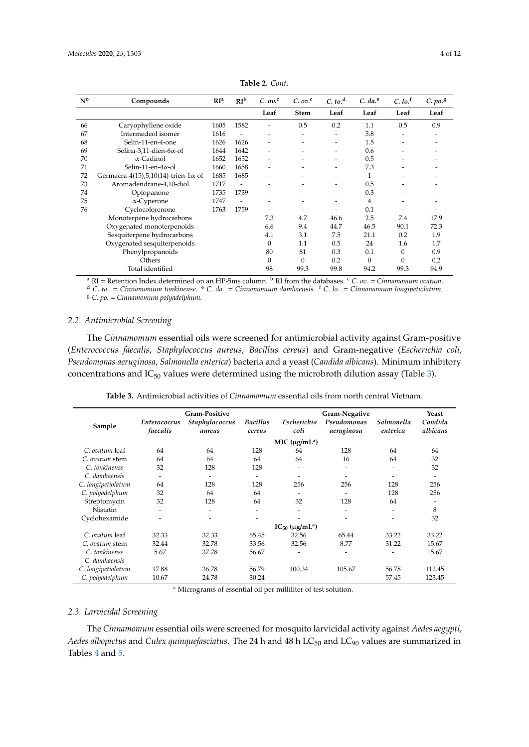<span id="page-3-0"></span>

| $N^{\rm o}$                 | Compounds                                    | RI <sup>a</sup> | RI <sup>b</sup> | C. ov. <sup>c</sup>      | C. ov. <sup>c</sup>      | C. to. <sup>d</sup>      | $C. da.$ <sup>e</sup> | $C.$ lo. <sup>f</sup>    | $C. po.$ <sup>g</sup> |
|-----------------------------|----------------------------------------------|-----------------|-----------------|--------------------------|--------------------------|--------------------------|-----------------------|--------------------------|-----------------------|
|                             |                                              |                 |                 | Leaf                     | <b>Stem</b>              | Leaf                     | Leaf                  | Leaf                     | Leaf                  |
| 66                          | Caryophyllene oxide                          | 1605            | 1582            |                          | 0.5                      | 0.2                      | 1.1                   | 0.5                      | 0.9                   |
| 67                          | Intermedeol isomer                           | 1616            |                 | $\overline{\phantom{0}}$ | -                        | $\overline{\phantom{a}}$ | 5.8                   | $\overline{\phantom{0}}$ | ٠                     |
| 68                          | Selin-11-en-4-one                            | 1626            | 1626            | $\overline{\phantom{0}}$ |                          | ٠                        | 1.5                   |                          |                       |
| 69                          | Selina-3,11-dien-6 $\alpha$ -ol              | 1644            | 1642            | ٠                        | $\overline{\phantom{0}}$ | $\overline{\phantom{a}}$ | 0.6                   |                          | -                     |
| 70                          | $\alpha$ -Cadinol                            | 1652            | 1652            |                          |                          | -                        | 0.5                   |                          |                       |
| 71                          | Selin-11-en- $4\alpha$ -ol                   | 1660            | 1658            | $\overline{\phantom{0}}$ |                          | $\overline{\phantom{a}}$ | 7.3                   |                          |                       |
| 72                          | Germacra-4(15),5,10(14)-trien-1 $\alpha$ -ol | 1685            | 1685            |                          |                          | ٠                        | 1                     |                          |                       |
| 73                          | Aromadendrane-4,10-diol                      | 1717            | ۰               |                          |                          | -                        | 0.5                   |                          |                       |
| 74                          | Oplopanone                                   | 1735            | 1739            |                          |                          | -                        | 0.3                   |                          |                       |
| 75                          | $\alpha$ -Cyperone                           | 1747            |                 |                          |                          |                          | 4                     |                          |                       |
| 76                          | Cyclocolorenone                              | 1763            | 1759            |                          |                          |                          | 0.1                   |                          |                       |
|                             | Monoterpene hydrocarbons                     |                 |                 | 7.3                      | 4.7                      | 46.6                     | 2.5                   | 7.4                      | 17.9                  |
|                             | Oxygenated monoterpenoids                    |                 |                 | 6.6                      | 9.4                      | 44.7                     | 46.5                  | 90.1                     | 72.3                  |
|                             | Sesquiterpene hydrocarbons                   |                 |                 | 4.1                      | 3.1                      | 7.5                      | 21.1                  | 0.2                      | 1.9                   |
| Oxygenated sesquiterpenoids |                                              |                 |                 | 0                        | 1.1                      | 0.5                      | 24                    | 1.6                      | 1.7                   |
| Phenylpropanoids            |                                              |                 | 80              | 81                       | 0.3                      | 0.1                      | $\Omega$              | 0.9                      |                       |
|                             | Others                                       |                 |                 | 0                        | $\mathbf{0}$             | 0.2                      | $\Omega$              | $\Omega$                 | 0.2                   |
| Total identified            |                                              |                 |                 | 98                       | 99.3                     | 99.8                     | 94.2                  | 99.3                     | 94.9                  |

**Table 2.** *Cont.*

<sup>a</sup> RI = Retention Index determined on an HP-5ms column. <sup>b</sup> RI from the databases. <sup>c</sup> C. ov. = *Cinnamomum ovatum*.

<sup>d</sup> *C. to.* = *Cinnamomum tonkinense*. <sup>e</sup> *C. da.* = *Cinnamomum damhaensis.* <sup>f</sup> *C. lo.* = *Cinnamomum longipetiolatum.* <sup>g</sup> *C. po.* = *Cinnamomum polyadelphum.*

## *2.2. Antimicrobial Screening*

The *Cinnamomum* essential oils were screened for antimicrobial activity against Gram-positive (*Enterococcus faecalis*, *Staphylococcus aureus*, *Bacillus cereus*) and Gram-negative (*Escherichia coli*, *Pseudomonas aeruginosa*, *Salmonella enterica*) bacteria and a yeast (*Candida albicans*). Minimum inhibitory concentrations and  $IC_{50}$  values were determined using the microbroth dilution assay (Table [3\)](#page-3-1).

<span id="page-3-1"></span>

| Sample             | Enterococcus<br>faecalis | <b>Gram-Positive</b><br>Staphylococcus<br>aureus | <b>Bacillus</b><br>cereus | Escherichia<br>coli             | Gram-Negative<br>Pseudomonas<br>aeruginosa | Salmonella<br>enterica   | Yeast<br>Candida<br>albicans |
|--------------------|--------------------------|--------------------------------------------------|---------------------------|---------------------------------|--------------------------------------------|--------------------------|------------------------------|
|                    |                          |                                                  |                           | MIC $(\mu g/mL^a)$              |                                            |                          |                              |
| C. ovatum leaf     | 64                       | 64                                               | 128                       | 64                              | 128                                        | 64                       | 64                           |
| C. ovatum stem     | 64                       | 64                                               | 64                        | 64                              | 16                                         | 64                       | 32                           |
| C. tonkinense      | 32                       | 128                                              | 128                       | -                               | ۰                                          | $\overline{\phantom{a}}$ | 32                           |
| C. damhaensis      | ٠                        | -                                                |                           |                                 | $\overline{\phantom{0}}$                   | -                        | $\overline{\phantom{0}}$     |
| C. longipetiolatum | 64                       | 128                                              | 128                       | 256                             | 256                                        | 128                      | 256                          |
| C. polyadelphum    | 32                       | 64                                               | 64                        | $\overline{\phantom{0}}$        |                                            | 128                      | 256                          |
| Streptomycin       | 32                       | 128                                              | 64                        | 32                              | 128                                        | 64                       |                              |
| <b>Nistatin</b>    | ٠                        | -                                                | -                         | -                               | ۰                                          | $\overline{\phantom{a}}$ | 8                            |
| Cyclohexamide      |                          |                                                  |                           |                                 |                                            |                          | 32                           |
|                    |                          |                                                  |                           | $IC_{50}$ (µg/mL <sup>a</sup> ) |                                            |                          |                              |
| C. ovatum leaf     | 32.33                    | 32.33                                            | 65.45                     | 32.56                           | 65.44                                      | 33.22                    | 33.22                        |
| C. ovatum stem     | 32.44                    | 32.78                                            | 33.56                     | 32.56                           | 8.77                                       | 31.22                    | 15.67                        |
| C. tonkinense      | 5.67                     | 37.78                                            | 56.67                     | $\qquad \qquad \blacksquare$    | ۰                                          |                          | 15.67                        |
| C. damhaensis      | ٠                        | -                                                | ٠                         |                                 |                                            | $\overline{\phantom{0}}$ | $\overline{\phantom{0}}$     |
| C. longipetiolatum | 17.88                    | 36.78                                            | 56.79                     | 100.34                          | 105.67                                     | 56.78                    | 112.45                       |
| C. polyadelphum    | 10.67                    | 24.78                                            | 30.24                     |                                 |                                            | 57.45                    | 123.45                       |

**Table 3.** Antimicrobial activities of *Cinnamomum* essential oils from north central Vietnam.

<sup>a</sup> Micrograms of essential oil per milliliter of test solution.

#### *2.3. Larvicidal Screening*

The *Cinnamomum* essential oils were screened for mosquito larvicidal activity against *Aedes aegypti*, *Aedes albopictus* and *Culex quinquefasciatus*. The 24 h and 48 h LC<sub>50</sub> and LC<sub>90</sub> values are summarized in Tables [4](#page-4-0) and [5.](#page-4-1)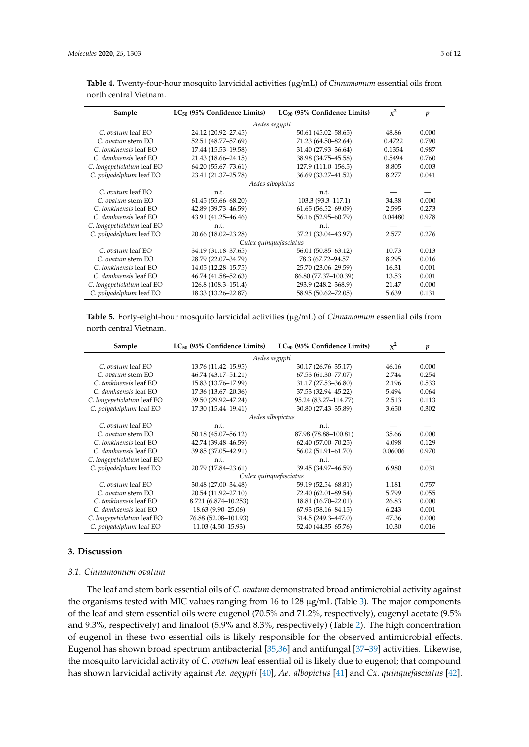| Sample                     | $LC_{50}$ (95% Confidence Limits) | $LC_{90}$ (95% Confidence Limits) | $x^2$   | $\boldsymbol{p}$ |
|----------------------------|-----------------------------------|-----------------------------------|---------|------------------|
|                            |                                   | Aedes aegypti                     |         |                  |
| C. ovatum leaf EO          | 24.12 (20.92-27.45)               | 50.61 (45.02–58.65)               | 48.86   | 0.000            |
| C. ovatum stem EO          | 52.51 (48.77-57.69)               | 71.23 (64.50-82.64)               | 0.4722  | 0.790            |
| C. tonkinensis leaf EO     | 17.44 (15.53-19.58)               | 31.40 (27.93-36.64)               | 0.1354  | 0.987            |
| C. damhaensis leaf EO      | 21.43 (18.66-24.15)               | 38.98 (34.75-45.58)               | 0.5494  | 0.760            |
| C. longepetiolatum leaf EO | 64.20 (55.67-73.61)               | 127.9 (111.0-156.5)               | 8.805   | 0.003            |
| C. polyadelphum leaf EO    | 23.41 (21.37-25.78)               | 36.69 (33.27-41.52)               | 8.277   | 0.041            |
|                            | Aedes albopictus                  |                                   |         |                  |
| C. ovatum leaf EO          | n.t.                              | n.t.                              |         |                  |
| C. ovatum stem EO          | $61.45(55.66 - 68.20)$            | 103.3 (93.3–117.1)                | 34.38   | 0.000            |
| C. tonkinensis leaf EO     | 42.89 (39.73-46.59)               | $61.65(56.52 - 69.09)$            | 2.595   | 0.273            |
| C. damhaensis leaf EO      | 43.91 (41.25-46.46)               | 56.16 (52.95-60.79)               | 0.04480 | 0.978            |
| C. longepetiolatum leaf EO | n.t.                              | n.t.                              |         |                  |
| C. polyadelphum leaf EO    | 20.66 (18.02-23.28)               | 37.21 (33.04-43.97)               | 2.577   | 0.276            |
|                            |                                   | Culex quinquefasciatus            |         |                  |
| C. ovatum leaf EO          | 34.19 (31.18-37.65)               | 56.01 (50.85–63.12)               | 10.73   | 0.013            |
| C. ovatum stem EO          | 28.79 (22.07-34.79)               | 78.3 (67.72-94.57)                | 8.295   | 0.016            |
| C. tonkinensis leaf EO     | 14.05 (12.28-15.75)               | 25.70 (23.06-29.59)               | 16.31   | 0.001            |
| C. damhaensis leaf EO      | 46.74 (41.58-52.63)               | 86.80 (77.37-100.39)              | 13.53   | 0.001            |
| C. longepetiolatum leaf EO | 126.8 (108.3-151.4)               | 293.9 (248.2-368.9)               | 21.47   | 0.000            |
| C. polyadelphum leaf EO    | 18.33 (13.26-22.87)               | 58.95 (50.62-72.05)               | 5.639   | 0.131            |

<span id="page-4-0"></span>**Table 4.** Twenty-four-hour mosquito larvicidal activities (µg/mL) of *Cinnamomum* essential oils from north central Vietnam.

<span id="page-4-1"></span>**Table 5.** Forty-eight-hour mosquito larvicidal activities (µg/mL) of *Cinnamomum* essential oils from north central Vietnam.

| Sample                     | $LC_{50}$ (95% Confidence Limits) | $LC_{90}$ (95% Confidence Limits) | $\chi^2$ | p     |
|----------------------------|-----------------------------------|-----------------------------------|----------|-------|
|                            |                                   | Aedes aegypti                     |          |       |
| C. ovatum leaf EO          | 13.76 (11.42–15.95)               | 30.17 (26.76-35.17)               | 46.16    | 0.000 |
| C. ovatum stem EO          | 46.74 (43.17-51.21)               | 67.53 (61.30-77.07)               | 2.744    | 0.254 |
| C. tonkinensis leaf EO     | 15.83 (13.76-17.99)               | 31.17 (27.53-36.80)               | 2.196    | 0.533 |
| C. damhaensis leaf EO      | 17.36 (13.67-20.36)               | 37.53 (32.94-45.22)               | 5.494    | 0.064 |
| C. longepetiolatum leaf EO | 39.50 (29.92-47.24)               | 95.24 (83.27-114.77)              | 2.513    | 0.113 |
| C. polyadelphum leaf EO    | 17.30 (15.44-19.41)               | 30.80 (27.43-35.89)               | 3.650    | 0.302 |
|                            |                                   | Aedes albopictus                  |          |       |
| C. ovatum leaf EO          | n.t.                              | n.t.                              |          |       |
| C. ovatum stem EO          | 50.18 (45.07-56.12)               | 87.98 (78.88-100.81)              | 35.66    | 0.000 |
| C. tonkinensis leaf EO     | 42.74 (39.48-46.59)               | 62.40 (57.00-70.25)               | 4.098    | 0.129 |
| C. damhaensis leaf EO      | 39.85 (37.05-42.91)               | 56.02 (51.91-61.70)               | 0.06006  | 0.970 |
| C. longepetiolatum leaf EO | n.t.                              | n.t.                              |          |       |
| C. polyadelphum leaf EO    | 20.79 (17.84-23.61)               | 39.45 (34.97-46.59)               | 6.980    | 0.031 |
|                            |                                   | Culex quinquefasciatus            |          |       |
| C. ovatum leaf EO          | 30.48 (27.00-34.48)               | 59.19 (52.54–68.81)               | 1.181    | 0.757 |
| C. ovatum stem EO          | 20.54 (11.92-27.10)               | 72.40 (62.01-89.54)               | 5.799    | 0.055 |
| C. tonkinensis leaf EO     | 8.721 (6.874-10.253)              | 18.81 (16.70-22.01)               | 26.83    | 0.000 |
| C. damhaensis leaf EO      | 18.63 (9.90–25.06)                | 67.93 (58.16-84.15)               | 6.243    | 0.001 |
| C. longepetiolatum leaf EO | 76.88 (52.08-101.93)              | 314.5 (249.3-447.0)               | 47.36    | 0.000 |
| C. polyadelphum leaf EO    | 11.03 (4.50-15.93)                | 52.40 (44.35–65.76)               | 10.30    | 0.016 |

## **3. Discussion**

## *3.1. Cinnamomum ovatum*

The leaf and stem bark essential oils of *C. ovatum* demonstrated broad antimicrobial activity against the organisms tested with MIC values ranging from 16 to 128 µg/mL (Table [3\)](#page-3-1). The major components of the leaf and stem essential oils were eugenol (70.5% and 71.2%, respectively), eugenyl acetate (9.5% and 9.3%, respectively) and linalool (5.9% and 8.3%, respectively) (Table [2\)](#page-3-0). The high concentration of eugenol in these two essential oils is likely responsible for the observed antimicrobial effects. Eugenol has shown broad spectrum antibacterial [\[35,](#page-9-11)[36\]](#page-9-12) and antifungal [\[37–](#page-9-13)[39\]](#page-9-14) activities. Likewise, the mosquito larvicidal activity of *C. ovatum* leaf essential oil is likely due to eugenol; that compound has shown larvicidal activity against *Ae. aegypti* [\[40\]](#page-9-15), *Ae. albopictus* [\[41\]](#page-9-16) and *Cx. quinquefasciatus* [\[42\]](#page-9-17).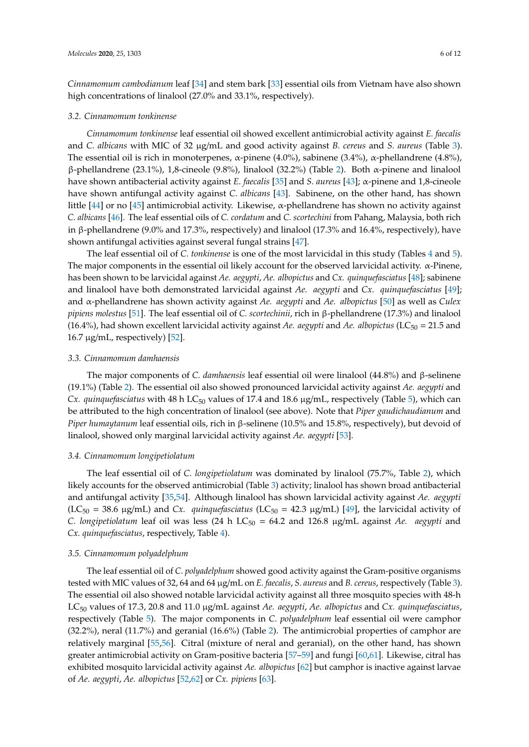*Cinnamomum cambodianum* leaf [\[34\]](#page-9-10) and stem bark [\[33\]](#page-9-18) essential oils from Vietnam have also shown

#### *3.2. Cinnamomum tonkinense*

high concentrations of linalool (27.0% and 33.1%, respectively).

*Cinnamomum tonkinense* leaf essential oil showed excellent antimicrobial activity against *E. faecalis* and *C. albicans* with MIC of 32 µg/mL and good activity against *B. cereus* and *S. aureus* (Table [3\)](#page-3-1). The essential oil is rich in monoterpenes, α-pinene (4.0%), sabinene (3.4%), α-phellandrene (4.8%), β-phellandrene (23.1%), 1,8-cineole (9.8%), linalool (32.2%) (Table [2\)](#page-3-0). Both α-pinene and linalool have shown antibacterial activity against *E. faecalis* [\[35\]](#page-9-11) and *S. aureus* [\[43\]](#page-10-0); α-pinene and 1,8-cineole have shown antifungal activity against *C. albicans* [\[43\]](#page-10-0). Sabinene, on the other hand, has shown little [\[44\]](#page-10-1) or no [\[45\]](#page-10-2) antimicrobial activity. Likewise, α-phellandrene has shown no activity against *C. albicans* [\[46\]](#page-10-3). The leaf essential oils of *C. cordatum* and *C. scortechini* from Pahang, Malaysia, both rich in β-phellandrene (9.0% and 17.3%, respectively) and linalool (17.3% and 16.4%, respectively), have shown antifungal activities against several fungal strains [\[47\]](#page-10-4).

The leaf essential oil of *C. tonkinense* is one of the most larvicidal in this study (Tables [4](#page-4-0) and [5\)](#page-4-1). The major components in the essential oil likely account for the observed larvicidal activity. α-Pinene, has been shown to be larvicidal against *Ae. aegypti*, *Ae. albopictus* and *Cx. quinquefasciatus* [\[48\]](#page-10-5); sabinene and linalool have both demonstrated larvicidal against *Ae. aegypti* and *Cx. quinquefasciatus* [\[49\]](#page-10-6); and α-phellandrene has shown activity against *Ae. aegypti* and *Ae. albopictus* [\[50\]](#page-10-7) as well as *Culex pipiens molestus* [\[51\]](#page-10-8). The leaf essential oil of *C. scortechinii*, rich in β-phellandrene (17.3%) and linalool (16.4%), had shown excellent larvicidal activity against *Ae. aegypti* and *Ae. albopictus* (LC<sub>50</sub> = 21.5 and 16.7  $\mu$ g/mL, respectively) [\[52\]](#page-10-9).

#### *3.3. Cinnamomum damhaensis*

The major components of *C. damhaensis* leaf essential oil were linalool (44.8%) and β-selinene (19.1%) (Table [2\)](#page-3-0). The essential oil also showed pronounced larvicidal activity against *Ae. aegypti* and *Cx. quinquefasciatus* with 48 h LC<sub>50</sub> values of 17.4 and 18.6 μg/mL, respectively (Table [5\)](#page-4-1), which can be attributed to the high concentration of linalool (see above). Note that *Piper gaudichaudianum* and *Piper humaytanum* leaf essential oils, rich in β-selinene (10.5% and 15.8%, respectively), but devoid of linalool, showed only marginal larvicidal activity against *Ae. aegypti* [\[53\]](#page-10-10).

## *3.4. Cinnamomum longipetiolatum*

The leaf essential oil of *C. longipetiolatum* was dominated by linalool (75.7%, Table [2\)](#page-3-0), which likely accounts for the observed antimicrobial (Table [3\)](#page-3-1) activity; linalool has shown broad antibacterial and antifungal activity [\[35,](#page-9-11)[54\]](#page-10-11). Although linalool has shown larvicidal activity against *Ae. aegypti*  $(LC_{50} = 38.6 \text{ µg/mL})$  and *Cx. quinquefasciatus*  $(LC_{50} = 42.3 \text{ µg/mL})$  [\[49\]](#page-10-6), the larvicidal activity of *C. longipetiolatum* leaf oil was less (24 h  $LC_{50} = 64.2$  and 126.8  $\mu$ g/mL against *Ae. aegypti* and *Cx. quinquefasciatus*, respectively, Table [4\)](#page-4-0).

## *3.5. Cinnamomum polyadelphum*

The leaf essential oil of *C. polyadelphum* showed good activity against the Gram-positive organisms tested with MIC values of 32, 64 and 64 µg/mL on *E. faecalis*, *S. aureus* and *B. cereus*, respectively (Table [3\)](#page-3-1). The essential oil also showed notable larvicidal activity against all three mosquito species with 48-h LC<sup>50</sup> values of 17.3, 20.8 and 11.0 µg/mL against *Ae. aegypti*, *Ae. albopictus* and *Cx. quinquefasciatus*, respectively (Table [5\)](#page-4-1). The major components in *C. polyadelphum* leaf essential oil were camphor (32.2%), neral (11.7%) and geranial (16.6%) (Table [2\)](#page-3-0). The antimicrobial properties of camphor are relatively marginal [\[55](#page-10-12)[,56\]](#page-10-13). Citral (mixture of neral and geranial), on the other hand, has shown greater antimicrobial activity on Gram-positive bacteria [\[57](#page-10-14)[–59\]](#page-10-15) and fungi [\[60](#page-10-16)[,61\]](#page-10-17). Likewise, citral has exhibited mosquito larvicidal activity against *Ae. albopictus* [\[62\]](#page-10-18) but camphor is inactive against larvae of *Ae. aegypti*, *Ae. albopictus* [\[52,](#page-10-9)[62\]](#page-10-18) or *Cx. pipiens* [\[63\]](#page-11-0).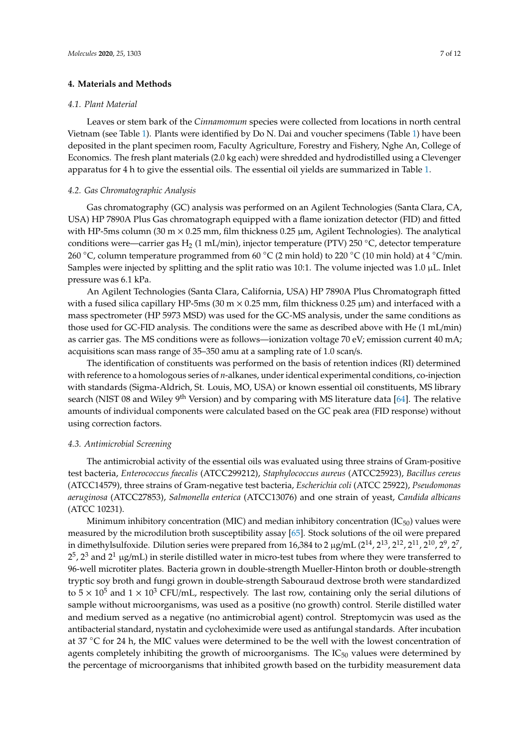#### **4. Materials and Methods**

#### *4.1. Plant Material*

Leaves or stem bark of the *Cinnamomum* species were collected from locations in north central Vietnam (see Table [1\)](#page-1-0). Plants were identified by Do N. Dai and voucher specimens (Table [1\)](#page-1-0) have been deposited in the plant specimen room, Faculty Agriculture, Forestry and Fishery, Nghe An, College of Economics. The fresh plant materials (2.0 kg each) were shredded and hydrodistilled using a Clevenger apparatus for 4 h to give the essential oils. The essential oil yields are summarized in Table [1.](#page-1-0)

## *4.2. Gas Chromatographic Analysis*

Gas chromatography (GC) analysis was performed on an Agilent Technologies (Santa Clara, CA, USA) HP 7890A Plus Gas chromatograph equipped with a flame ionization detector (FID) and fitted with HP-5ms column (30 m  $\times$  0.25 mm, film thickness 0.25  $\mu$ m, Agilent Technologies). The analytical conditions were—carrier gas H<sub>2</sub> (1 mL/min), injector temperature (PTV) 250 °C, detector temperature 260 °C, column temperature programmed from 60 °C (2 min hold) to 220 °C (10 min hold) at 4 °C/min. Samples were injected by splitting and the split ratio was 10:1. The volume injected was 1.0  $\mu$ L. Inlet pressure was 6.1 kPa.

An Agilent Technologies (Santa Clara, California, USA) HP 7890A Plus Chromatograph fitted with a fused silica capillary HP-5ms (30 m  $\times$  0.25 mm, film thickness 0.25  $\mu$ m) and interfaced with a mass spectrometer (HP 5973 MSD) was used for the GC-MS analysis, under the same conditions as those used for GC-FID analysis. The conditions were the same as described above with He (1 mL/min) as carrier gas. The MS conditions were as follows—ionization voltage 70 eV; emission current 40 mA; acquisitions scan mass range of 35–350 amu at a sampling rate of 1.0 scan/s.

The identification of constituents was performed on the basis of retention indices (RI) determined with reference to a homologous series of *n*-alkanes, under identical experimental conditions, co-injection with standards (Sigma-Aldrich, St. Louis, MO, USA) or known essential oil constituents, MS library search (NIST 08 and Wiley 9<sup>th</sup> Version) and by comparing with MS literature data [\[64\]](#page-11-1). The relative amounts of individual components were calculated based on the GC peak area (FID response) without using correction factors.

## *4.3. Antimicrobial Screening*

The antimicrobial activity of the essential oils was evaluated using three strains of Gram-positive test bacteria, *Enterococcus faecalis* (ATCC299212), *Staphylococcus aureus* (ATCC25923), *Bacillus cereus* (ATCC14579), three strains of Gram-negative test bacteria, *Escherichia coli* (ATCC 25922), *Pseudomonas aeruginosa* (ATCC27853), *Salmonella enterica* (ATCC13076) and one strain of yeast, *Candida albicans* (ATCC 10231).

Minimum inhibitory concentration (MIC) and median inhibitory concentration (IC $_{50}$ ) values were measured by the microdilution broth susceptibility assay [\[65\]](#page-11-2). Stock solutions of the oil were prepared in dimethylsulfoxide. Dilution series were prepared from 16,384 to 2 µg/mL (2 $^{14}$ , 2 $^{13}$ , 2 $^{12}$ , 2 $^{11}$ , 2 $^{10}$ , 2 $^{9}$ , 2 $^{7}$ ,  $2^5$ ,  $2^3$  and  $2^1$  µg/mL) in sterile distilled water in micro-test tubes from where they were transferred to 96-well microtiter plates. Bacteria grown in double-strength Mueller-Hinton broth or double-strength tryptic soy broth and fungi grown in double-strength Sabouraud dextrose broth were standardized to  $5 \times 10^5$  and  $1 \times 10^3$  CFU/mL, respectively. The last row, containing only the serial dilutions of sample without microorganisms, was used as a positive (no growth) control. Sterile distilled water and medium served as a negative (no antimicrobial agent) control. Streptomycin was used as the antibacterial standard, nystatin and cycloheximide were used as antifungal standards. After incubation at 37 ◦C for 24 h, the MIC values were determined to be the well with the lowest concentration of agents completely inhibiting the growth of microorganisms. The  $IC_{50}$  values were determined by the percentage of microorganisms that inhibited growth based on the turbidity measurement data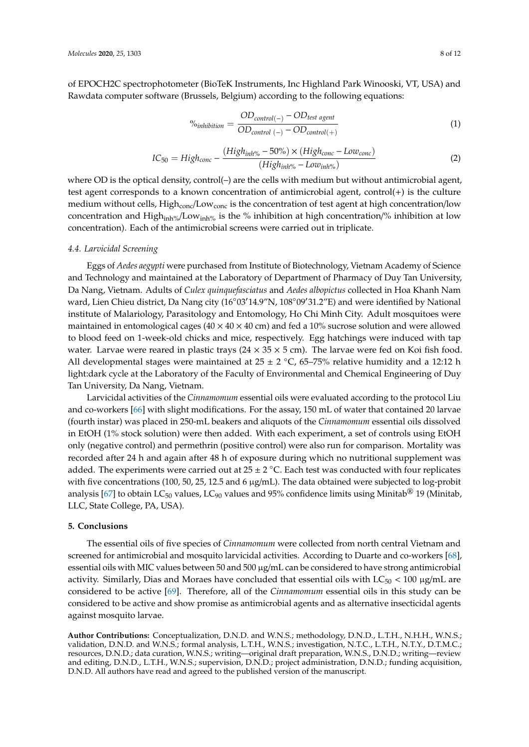of EPOCH2C spectrophotometer (BioTeK Instruments, Inc Highland Park Winooski, VT, USA) and Rawdata computer software (Brussels, Belgium) according to the following equations:

$$
\%inhibition = \frac{OD_{control(-)} - OD_{test agent}}{OD_{control(-)} - OD_{control(+)}}
$$
(1)

$$
IC_{50} = High_{conc} - \frac{(High_{inh\%} - 50\%) \times (High_{conc} - Low_{conc})}{(High_{inh\%} - Low_{inh\%})}
$$
(2)

where OD is the optical density, control(-) are the cells with medium but without antimicrobial agent, test agent corresponds to a known concentration of antimicrobial agent, control(+) is the culture medium without cells, High<sub>conc</sub>/Low<sub>conc</sub> is the concentration of test agent at high concentration/low concentration and High $_{\text{inh}\gamma_0}/\text{Low}_{\text{inh}\gamma_0}$  is the % inhibition at high concentration/% inhibition at low concentration). Each of the antimicrobial screens were carried out in triplicate.

#### *4.4. Larvicidal Screening*

Eggs of *Aedes aegypti* were purchased from Institute of Biotechnology, Vietnam Academy of Science and Technology and maintained at the Laboratory of Department of Pharmacy of Duy Tan University, Da Nang, Vietnam. Adults of *Culex quinquefasciatus* and *Aedes albopictus* collected in Hoa Khanh Nam ward, Lien Chieu district, Da Nang city (16°03'14.9"N, 108°09'31.2"E) and were identified by National institute of Malariology, Parasitology and Entomology, Ho Chi Minh City. Adult mosquitoes were maintained in entomological cages ( $40 \times 40 \times 40$  cm) and fed a 10% sucrose solution and were allowed to blood feed on 1-week-old chicks and mice, respectively. Egg hatchings were induced with tap water. Larvae were reared in plastic trays  $(24 \times 35 \times 5 \text{ cm})$ . The larvae were fed on Koi fish food. All developmental stages were maintained at  $25 \pm 2$  °C, 65–75% relative humidity and a 12:12 h light:dark cycle at the Laboratory of the Faculty of Environmental and Chemical Engineering of Duy Tan University, Da Nang, Vietnam.

Larvicidal activities of the *Cinnamomum* essential oils were evaluated according to the protocol Liu and co-workers [\[66\]](#page-11-3) with slight modifications. For the assay, 150 mL of water that contained 20 larvae (fourth instar) was placed in 250-mL beakers and aliquots of the *Cinnamomum* essential oils dissolved in EtOH (1% stock solution) were then added. With each experiment, a set of controls using EtOH only (negative control) and permethrin (positive control) were also run for comparison. Mortality was recorded after 24 h and again after 48 h of exposure during which no nutritional supplement was added. The experiments were carried out at  $25 \pm 2$  °C. Each test was conducted with four replicates with five concentrations (100, 50, 25, 12.5 and 6  $\mu$ g/mL). The data obtained were subjected to log-probit analysis [\[67\]](#page-11-4) to obtain  $LC_{50}$  values,  $LC_{90}$  values and 95% confidence limits using Minitab® 19 (Minitab, LLC, State College, PA, USA).

#### **5. Conclusions**

The essential oils of five species of *Cinnamomum* were collected from north central Vietnam and screened for antimicrobial and mosquito larvicidal activities. According to Duarte and co-workers [\[68\]](#page-11-5), essential oils with MIC values between 50 and 500 µg/mL can be considered to have strong antimicrobial activity. Similarly, Dias and Moraes have concluded that essential oils with  $LC_{50}$  < 100  $\mu$ g/mL are considered to be active [\[69\]](#page-11-6). Therefore, all of the *Cinnamomum* essential oils in this study can be considered to be active and show promise as antimicrobial agents and as alternative insecticidal agents against mosquito larvae.

**Author Contributions:** Conceptualization, D.N.D. and W.N.S.; methodology, D.N.D., L.T.H., N.H.H., W.N.S.; validation, D.N.D. and W.N.S.; formal analysis, L.T.H., W.N.S.; investigation, N.T.C., L.T.H., N.T.Y., D.T.M.C.; resources, D.N.D.; data curation, W.N.S.; writing—original draft preparation, W.N.S., D.N.D.; writing—review and editing, D.N.D., L.T.H., W.N.S.; supervision, D.N.D.; project administration, D.N.D.; funding acquisition, D.N.D. All authors have read and agreed to the published version of the manuscript.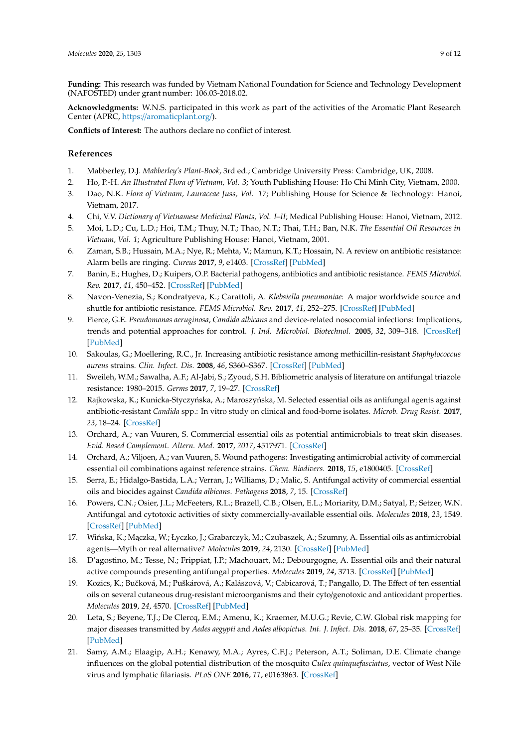**Funding:** This research was funded by Vietnam National Foundation for Science and Technology Development (NAFOSTED) under grant number: 106.03-2018.02.

**Acknowledgments:** W.N.S. participated in this work as part of the activities of the Aromatic Plant Research Center (APRC, https://[aromaticplant.org](https://aromaticplant.org/)/).

**Conflicts of Interest:** The authors declare no conflict of interest.

## **References**

- <span id="page-8-0"></span>1. Mabberley, D.J. *Mabberley's Plant-Book*, 3rd ed.; Cambridge University Press: Cambridge, UK, 2008.
- <span id="page-8-1"></span>2. Ho, P.-H. *An Illustrated Flora of Vietnam, Vol. 3*; Youth Publishing House: Ho Chi Minh City, Vietnam, 2000.
- <span id="page-8-2"></span>3. Dao, N.K. *Flora of Vietnam, Lauraceae Juss, Vol. 17*; Publishing House for Science & Technology: Hanoi, Vietnam, 2017.
- <span id="page-8-3"></span>4. Chi, V.V. *Dictionary of Vietnamese Medicinal Plants, Vol. I–II*; Medical Publishing House: Hanoi, Vietnam, 2012.
- <span id="page-8-4"></span>5. Moi, L.D.; Cu, L.D.; Hoi, T.M.; Thuy, N.T.; Thao, N.T.; Thai, T.H.; Ban, N.K. *The Essential Oil Resources in Vietnam, Vol. 1*; Agriculture Publishing House: Hanoi, Vietnam, 2001.
- <span id="page-8-5"></span>6. Zaman, S.B.; Hussain, M.A.; Nye, R.; Mehta, V.; Mamun, K.T.; Hossain, N. A review on antibiotic resistance: Alarm bells are ringing. *Cureus* **2017**, *9*, e1403. [\[CrossRef\]](http://dx.doi.org/10.7759/cureus.1403) [\[PubMed\]](http://www.ncbi.nlm.nih.gov/pubmed/28852600)
- <span id="page-8-6"></span>7. Banin, E.; Hughes, D.; Kuipers, O.P. Bacterial pathogens, antibiotics and antibiotic resistance. *FEMS Microbiol. Rev.* **2017**, *41*, 450–452. [\[CrossRef\]](http://dx.doi.org/10.1093/femsre/fux016) [\[PubMed\]](http://www.ncbi.nlm.nih.gov/pubmed/28486583)
- <span id="page-8-7"></span>8. Navon-Venezia, S.; Kondratyeva, K.; Carattoli, A. *Klebsiella pneumoniae*: A major worldwide source and shuttle for antibiotic resistance. *FEMS Microbiol. Rev.* **2017**, *41*, 252–275. [\[CrossRef\]](http://dx.doi.org/10.1093/femsre/fux013) [\[PubMed\]](http://www.ncbi.nlm.nih.gov/pubmed/28521338)
- <span id="page-8-8"></span>9. Pierce, G.E. *Pseudomonas aeruginosa*, *Candida albicans* and device-related nosocomial infections: Implications, trends and potential approaches for control. *J. Ind. Microbiol. Biotechnol.* **2005**, *32*, 309–318. [\[CrossRef\]](http://dx.doi.org/10.1007/s10295-005-0225-2) [\[PubMed\]](http://www.ncbi.nlm.nih.gov/pubmed/15868157)
- <span id="page-8-9"></span>10. Sakoulas, G.; Moellering, R.C., Jr. Increasing antibiotic resistance among methicillin-resistant *Staphylococcus aureus* strains. *Clin. Infect. Dis.* **2008**, *46*, S360–S367. [\[CrossRef\]](http://dx.doi.org/10.1086/533592) [\[PubMed\]](http://www.ncbi.nlm.nih.gov/pubmed/18462091)
- <span id="page-8-10"></span>11. Sweileh, W.M.; Sawalha, A.F.; Al-Jabi, S.; Zyoud, S.H. Bibliometric analysis of literature on antifungal triazole resistance: 1980–2015. *Germs* **2017**, *7*, 19–27. [\[CrossRef\]](http://dx.doi.org/10.18683/germs.2017.1104)
- <span id="page-8-11"></span>12. Rajkowska, K.; Kunicka-Styczyńska, A.; Maroszyńska, M. Selected essential oils as antifungal agents against antibiotic-resistant *Candida* spp.: In vitro study on clinical and food-borne isolates. *Microb. Drug Resist.* **2017**, *23*, 18–24. [\[CrossRef\]](http://dx.doi.org/10.1089/mdr.2016.0001)
- 13. Orchard, A.; van Vuuren, S. Commercial essential oils as potential antimicrobials to treat skin diseases. *Evid. Based Complement. Altern. Med.* **2017**, *2017*, 4517971. [\[CrossRef\]](http://dx.doi.org/10.1155/2017/4517971)
- 14. Orchard, A.; Viljoen, A.; van Vuuren, S. Wound pathogens: Investigating antimicrobial activity of commercial essential oil combinations against reference strains. *Chem. Biodivers.* **2018**, *15*, e1800405. [\[CrossRef\]](http://dx.doi.org/10.1002/cbdv.201800405)
- 15. Serra, E.; Hidalgo-Bastida, L.A.; Verran, J.; Williams, D.; Malic, S. Antifungal activity of commercial essential oils and biocides against *Candida albicans*. *Pathogens* **2018**, *7*, 15. [\[CrossRef\]](http://dx.doi.org/10.3390/pathogens7010015)
- 16. Powers, C.N.; Osier, J.L.; McFeeters, R.L.; Brazell, C.B.; Olsen, E.L.; Moriarity, D.M.; Satyal, P.; Setzer, W.N. Antifungal and cytotoxic activities of sixty commercially-available essential oils. *Molecules* **2018**, *23*, 1549. [\[CrossRef\]](http://dx.doi.org/10.3390/molecules23071549) [\[PubMed\]](http://www.ncbi.nlm.nih.gov/pubmed/29954086)
- 17. Wińska, K.; Mączka, W.; Łyczko, J.; Grabarczyk, M.; Czubaszek, A.; Szumny, A. Essential oils as antimicrobial agents—Myth or real alternative? *Molecules* **2019**, *24*, 2130. [\[CrossRef\]](http://dx.doi.org/10.3390/molecules24112130) [\[PubMed\]](http://www.ncbi.nlm.nih.gov/pubmed/31195752)
- 18. D'agostino, M.; Tesse, N.; Frippiat, J.P.; Machouart, M.; Debourgogne, A. Essential oils and their natural active compounds presenting antifungal properties. *Molecules* **2019**, *24*, 3713. [\[CrossRef\]](http://dx.doi.org/10.3390/molecules24203713) [\[PubMed\]](http://www.ncbi.nlm.nih.gov/pubmed/31619024)
- <span id="page-8-12"></span>19. Kozics, K.; Buˇcková, M.; Puškárová, A.; Kalászová, V.; Cabicarová, T.; Pangallo, D. The Effect of ten essential oils on several cutaneous drug-resistant microorganisms and their cyto/genotoxic and antioxidant properties. *Molecules* **2019**, *24*, 4570. [\[CrossRef\]](http://dx.doi.org/10.3390/molecules24244570) [\[PubMed\]](http://www.ncbi.nlm.nih.gov/pubmed/31847159)
- <span id="page-8-13"></span>20. Leta, S.; Beyene, T.J.; De Clercq, E.M.; Amenu, K.; Kraemer, M.U.G.; Revie, C.W. Global risk mapping for major diseases transmitted by *Aedes aegypti* and *Aedes albopictus*. *Int. J. Infect. Dis.* **2018**, *67*, 25–35. [\[CrossRef\]](http://dx.doi.org/10.1016/j.ijid.2017.11.026) [\[PubMed\]](http://www.ncbi.nlm.nih.gov/pubmed/29196275)
- <span id="page-8-14"></span>21. Samy, A.M.; Elaagip, A.H.; Kenawy, M.A.; Ayres, C.F.J.; Peterson, A.T.; Soliman, D.E. Climate change influences on the global potential distribution of the mosquito *Culex quinquefasciatus*, vector of West Nile virus and lymphatic filariasis. *PLoS ONE* **2016**, *11*, e0163863. [\[CrossRef\]](http://dx.doi.org/10.1371/journal.pone.0163863)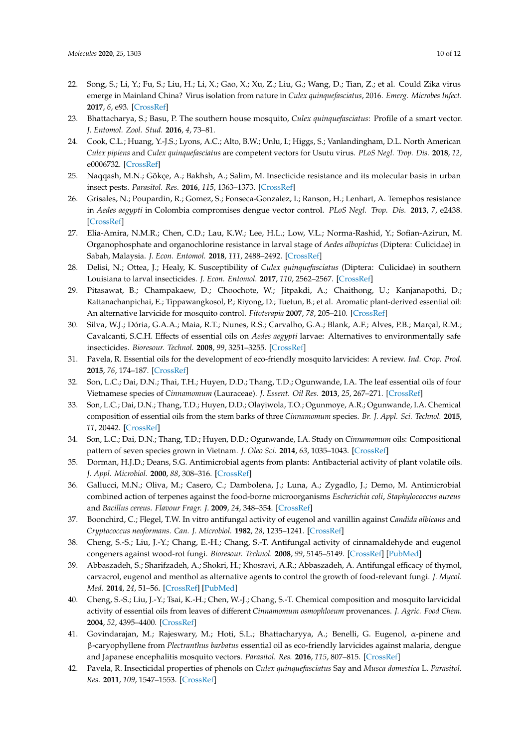- <span id="page-9-0"></span>22. Song, S.; Li, Y.; Fu, S.; Liu, H.; Li, X.; Gao, X.; Xu, Z.; Liu, G.; Wang, D.; Tian, Z.; et al. Could Zika virus emerge in Mainland China? Virus isolation from nature in *Culex quinquefasciatus*, 2016. *Emerg. Microbes Infect.* **2017**, *6*, e93. [\[CrossRef\]](http://dx.doi.org/10.1038/emi.2017.80)
- <span id="page-9-1"></span>23. Bhattacharya, S.; Basu, P. The southern house mosquito, *Culex quinquefasciatus*: Profile of a smart vector. *J. Entomol. Zool. Stud.* **2016**, *4*, 73–81.
- <span id="page-9-2"></span>24. Cook, C.L.; Huang, Y.-J.S.; Lyons, A.C.; Alto, B.W.; Unlu, I.; Higgs, S.; Vanlandingham, D.L. North American *Culex pipiens* and *Culex quinquefasciatus* are competent vectors for Usutu virus. *PLoS Negl. Trop. Dis.* **2018**, *12*, e0006732. [\[CrossRef\]](http://dx.doi.org/10.1371/journal.pntd.0006732)
- <span id="page-9-3"></span>25. Naqqash, M.N.; Gökçe, A.; Bakhsh, A.; Salim, M. Insecticide resistance and its molecular basis in urban insect pests. *Parasitol. Res.* **2016**, *115*, 1363–1373. [\[CrossRef\]](http://dx.doi.org/10.1007/s00436-015-4898-9)
- <span id="page-9-4"></span>26. Grisales, N.; Poupardin, R.; Gomez, S.; Fonseca-Gonzalez, I.; Ranson, H.; Lenhart, A. Temephos resistance in *Aedes aegypti* in Colombia compromises dengue vector control. *PLoS Negl. Trop. Dis.* **2013**, *7*, e2438. [\[CrossRef\]](http://dx.doi.org/10.1371/journal.pntd.0002438)
- <span id="page-9-5"></span>27. Elia-Amira, N.M.R.; Chen, C.D.; Lau, K.W.; Lee, H.L.; Low, V.L.; Norma-Rashid, Y.; Sofian-Azirun, M. Organophosphate and organochlorine resistance in larval stage of *Aedes albopictus* (Diptera: Culicidae) in Sabah, Malaysia. *J. Econ. Entomol.* **2018**, *111*, 2488–2492. [\[CrossRef\]](http://dx.doi.org/10.1093/jee/toy184)
- <span id="page-9-6"></span>28. Delisi, N.; Ottea, J.; Healy, K. Susceptibility of *Culex quinquefasciatus* (Diptera: Culicidae) in southern Louisiana to larval insecticides. *J. Econ. Entomol.* **2017**, *110*, 2562–2567. [\[CrossRef\]](http://dx.doi.org/10.1093/jee/tox244)
- <span id="page-9-7"></span>29. Pitasawat, B.; Champakaew, D.; Choochote, W.; Jitpakdi, A.; Chaithong, U.; Kanjanapothi, D.; Rattanachanpichai, E.; Tippawangkosol, P.; Riyong, D.; Tuetun, B.; et al. Aromatic plant-derived essential oil: An alternative larvicide for mosquito control. *Fitoterapia* **2007**, *78*, 205–210. [\[CrossRef\]](http://dx.doi.org/10.1016/j.fitote.2007.01.003)
- 30. Silva, W.J.; Dória, G.A.A.; Maia, R.T.; Nunes, R.S.; Carvalho, G.A.; Blank, A.F.; Alves, P.B.; Marçal, R.M.; Cavalcanti, S.C.H. Effects of essential oils on *Aedes aegypti* larvae: Alternatives to environmentally safe insecticides. *Bioresour. Technol.* **2008**, *99*, 3251–3255. [\[CrossRef\]](http://dx.doi.org/10.1016/j.biortech.2007.05.064)
- <span id="page-9-8"></span>31. Pavela, R. Essential oils for the development of eco-friendly mosquito larvicides: A review. *Ind. Crop. Prod.* **2015**, *76*, 174–187. [\[CrossRef\]](http://dx.doi.org/10.1016/j.indcrop.2015.06.050)
- <span id="page-9-9"></span>32. Son, L.C.; Dai, D.N.; Thai, T.H.; Huyen, D.D.; Thang, T.D.; Ogunwande, I.A. The leaf essential oils of four Vietnamese species of *Cinnamomum* (Lauraceae). *J. Essent. Oil Res.* **2013**, *25*, 267–271. [\[CrossRef\]](http://dx.doi.org/10.1080/10412905.2013.775673)
- <span id="page-9-18"></span>33. Son, L.C.; Dai, D.N.; Thang, T.D.; Huyen, D.D.; Olayiwola, T.O.; Ogunmoye, A.R.; Ogunwande, I.A. Chemical composition of essential oils from the stem barks of three *Cinnamomum* species. *Br. J. Appl. Sci. Technol.* **2015**, *11*, 20442. [\[CrossRef\]](http://dx.doi.org/10.9734/BJAST/2015/20442)
- <span id="page-9-10"></span>34. Son, L.C.; Dai, D.N.; Thang, T.D.; Huyen, D.D.; Ogunwande, I.A. Study on *Cinnamomum* oils: Compositional pattern of seven species grown in Vietnam. *J. Oleo Sci.* **2014**, *63*, 1035–1043. [\[CrossRef\]](http://dx.doi.org/10.5650/jos.ess14078)
- <span id="page-9-11"></span>35. Dorman, H.J.D.; Deans, S.G. Antimicrobial agents from plants: Antibacterial activity of plant volatile oils. *J. Appl. Microbiol.* **2000**, *88*, 308–316. [\[CrossRef\]](http://dx.doi.org/10.1046/j.1365-2672.2000.00969.x)
- <span id="page-9-12"></span>36. Gallucci, M.N.; Oliva, M.; Casero, C.; Dambolena, J.; Luna, A.; Zygadlo, J.; Demo, M. Antimicrobial combined action of terpenes against the food-borne microorganisms *Escherichia coli*, *Staphylococcus aureus* and *Bacillus cereus*. *Flavour Fragr. J.* **2009**, *24*, 348–354. [\[CrossRef\]](http://dx.doi.org/10.1002/ffj.1948)
- <span id="page-9-13"></span>37. Boonchird, C.; Flegel, T.W. In vitro antifungal activity of eugenol and vanillin against *Candida albicans* and *Cryptococcus neoformans*. *Can. J. Microbiol.* **1982**, *28*, 1235–1241. [\[CrossRef\]](http://dx.doi.org/10.1139/m82-184)
- 38. Cheng, S.-S.; Liu, J.-Y.; Chang, E.-H.; Chang, S.-T. Antifungal activity of cinnamaldehyde and eugenol congeners against wood-rot fungi. *Bioresour. Technol.* **2008**, *99*, 5145–5149. [\[CrossRef\]](http://dx.doi.org/10.1016/j.biortech.2007.09.013) [\[PubMed\]](http://www.ncbi.nlm.nih.gov/pubmed/17945485)
- <span id="page-9-14"></span>39. Abbaszadeh, S.; Sharifzadeh, A.; Shokri, H.; Khosravi, A.R.; Abbaszadeh, A. Antifungal efficacy of thymol, carvacrol, eugenol and menthol as alternative agents to control the growth of food-relevant fungi. *J. Mycol. Med.* **2014**, *24*, 51–56. [\[CrossRef\]](http://dx.doi.org/10.1016/j.mycmed.2014.01.063) [\[PubMed\]](http://www.ncbi.nlm.nih.gov/pubmed/24582134)
- <span id="page-9-15"></span>40. Cheng, S.-S.; Liu, J.-Y.; Tsai, K.-H.; Chen, W.-J.; Chang, S.-T. Chemical composition and mosquito larvicidal activity of essential oils from leaves of different *Cinnamomum osmophloeum* provenances. *J. Agric. Food Chem.* **2004**, *52*, 4395–4400. [\[CrossRef\]](http://dx.doi.org/10.1021/jf0497152)
- <span id="page-9-16"></span>41. Govindarajan, M.; Rajeswary, M.; Hoti, S.L.; Bhattacharyya, A.; Benelli, G. Eugenol, α-pinene and β-caryophyllene from *Plectranthus barbatus* essential oil as eco-friendly larvicides against malaria, dengue and Japanese encephalitis mosquito vectors. *Parasitol. Res.* **2016**, *115*, 807–815. [\[CrossRef\]](http://dx.doi.org/10.1007/s00436-015-4809-0)
- <span id="page-9-17"></span>42. Pavela, R. Insecticidal properties of phenols on *Culex quinquefasciatus* Say and *Musca domestica* L. *Parasitol. Res.* **2011**, *109*, 1547–1553. [\[CrossRef\]](http://dx.doi.org/10.1007/s00436-011-2395-3)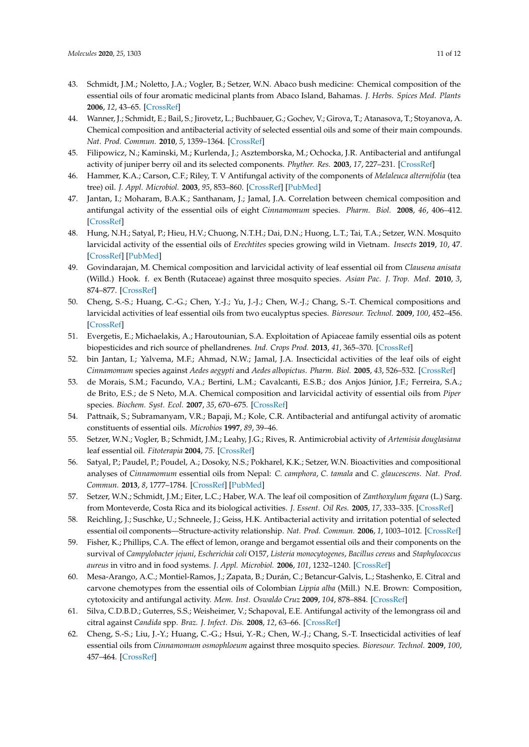- <span id="page-10-0"></span>43. Schmidt, J.M.; Noletto, J.A.; Vogler, B.; Setzer, W.N. Abaco bush medicine: Chemical composition of the essential oils of four aromatic medicinal plants from Abaco Island, Bahamas. *J. Herbs. Spices Med. Plants* **2006**, *12*, 43–65. [\[CrossRef\]](http://dx.doi.org/10.1300/J044v12n03_04)
- <span id="page-10-1"></span>44. Wanner, J.; Schmidt, E.; Bail, S.; Jirovetz, L.; Buchbauer, G.; Gochev, V.; Girova, T.; Atanasova, T.; Stoyanova, A. Chemical composition and antibacterial activity of selected essential oils and some of their main compounds. *Nat. Prod. Commun.* **2010**, *5*, 1359–1364. [\[CrossRef\]](http://dx.doi.org/10.1177/1934578X1000500905)
- <span id="page-10-2"></span>45. Filipowicz, N.; Kaminski, M.; Kurlenda, J.; Asztemborska, M.; Ochocka, J.R. Antibacterial and antifungal activity of juniper berry oil and its selected components. *Phyther. Res.* **2003**, *17*, 227–231. [\[CrossRef\]](http://dx.doi.org/10.1002/ptr.1110)
- <span id="page-10-3"></span>46. Hammer, K.A.; Carson, C.F.; Riley, T. V Antifungal activity of the components of *Melaleuca alternifolia* (tea tree) oil. *J. Appl. Microbiol.* **2003**, *95*, 853–860. [\[CrossRef\]](http://dx.doi.org/10.1046/j.1365-2672.2003.02059.x) [\[PubMed\]](http://www.ncbi.nlm.nih.gov/pubmed/12969301)
- <span id="page-10-4"></span>47. Jantan, I.; Moharam, B.A.K.; Santhanam, J.; Jamal, J.A. Correlation between chemical composition and antifungal activity of the essential oils of eight *Cinnamomum* species. *Pharm. Biol.* **2008**, *46*, 406–412. [\[CrossRef\]](http://dx.doi.org/10.1080/13880200802055859)
- <span id="page-10-5"></span>48. Hung, N.H.; Satyal, P.; Hieu, H.V.; Chuong, N.T.H.; Dai, D.N.; Huong, L.T.; Tai, T.A.; Setzer, W.N. Mosquito larvicidal activity of the essential oils of *Erechtites* species growing wild in Vietnam. *Insects* **2019**, *10*, 47. [\[CrossRef\]](http://dx.doi.org/10.3390/insects10020047) [\[PubMed\]](http://www.ncbi.nlm.nih.gov/pubmed/30717463)
- <span id="page-10-6"></span>49. Govindarajan, M. Chemical composition and larvicidal activity of leaf essential oil from *Clausena anisata* (Willd.) Hook. f. ex Benth (Rutaceae) against three mosquito species. *Asian Pac. J. Trop. Med.* **2010**, *3*, 874–877. [\[CrossRef\]](http://dx.doi.org/10.1016/S1995-7645(10)60210-6)
- <span id="page-10-7"></span>50. Cheng, S.-S.; Huang, C.-G.; Chen, Y.-J.; Yu, J.-J.; Chen, W.-J.; Chang, S.-T. Chemical compositions and larvicidal activities of leaf essential oils from two eucalyptus species. *Bioresour. Technol.* **2009**, *100*, 452–456. [\[CrossRef\]](http://dx.doi.org/10.1016/j.biortech.2008.02.038)
- <span id="page-10-8"></span>51. Evergetis, E.; Michaelakis, A.; Haroutounian, S.A. Exploitation of Apiaceae family essential oils as potent biopesticides and rich source of phellandrenes. *Ind. Crops Prod.* **2013**, *41*, 365–370. [\[CrossRef\]](http://dx.doi.org/10.1016/j.indcrop.2012.04.058)
- <span id="page-10-9"></span>52. bin Jantan, I.; Yalvema, M.F.; Ahmad, N.W.; Jamal, J.A. Insecticidal activities of the leaf oils of eight *Cinnamomum* species against *Aedes aegypti* and *Aedes albopictus*. *Pharm. Biol.* **2005**, *43*, 526–532. [\[CrossRef\]](http://dx.doi.org/10.1080/13880200500220771)
- <span id="page-10-10"></span>53. de Morais, S.M.; Facundo, V.A.; Bertini, L.M.; Cavalcanti, E.S.B.; dos Anjos Júnior, J.F.; Ferreira, S.A.; de Brito, E.S.; de S Neto, M.A. Chemical composition and larvicidal activity of essential oils from *Piper* species. *Biochem. Syst. Ecol.* **2007**, *35*, 670–675. [\[CrossRef\]](http://dx.doi.org/10.1016/j.bse.2007.05.002)
- <span id="page-10-11"></span>54. Pattnaik, S.; Subramanyam, V.R.; Bapaji, M.; Kole, C.R. Antibacterial and antifungal activity of aromatic constituents of essential oils. *Microbios* **1997**, *89*, 39–46.
- <span id="page-10-12"></span>55. Setzer, W.N.; Vogler, B.; Schmidt, J.M.; Leahy, J.G.; Rives, R. Antimicrobial activity of *Artemisia douglasiana* leaf essential oil. *Fitoterapia* **2004**, *75*. [\[CrossRef\]](http://dx.doi.org/10.1016/j.fitote.2003.12.019)
- <span id="page-10-13"></span>56. Satyal, P.; Paudel, P.; Poudel, A.; Dosoky, N.S.; Pokharel, K.K.; Setzer, W.N. Bioactivities and compositional analyses of *Cinnamomum* essential oils from Nepal: *C. camphora*, *C. tamala* and *C. glaucescens*. *Nat. Prod. Commun.* **2013**, *8*, 1777–1784. [\[CrossRef\]](http://dx.doi.org/10.1177/1934578X1300801232) [\[PubMed\]](http://www.ncbi.nlm.nih.gov/pubmed/24555298)
- <span id="page-10-14"></span>57. Setzer, W.N.; Schmidt, J.M.; Eiter, L.C.; Haber, W.A. The leaf oil composition of *Zanthoxylum fagara* (L.) Sarg. from Monteverde, Costa Rica and its biological activities. *J. Essent. Oil Res.* **2005**, *17*, 333–335. [\[CrossRef\]](http://dx.doi.org/10.1080/10412905.2005.9698923)
- 58. Reichling, J.; Suschke, U.; Schneele, J.; Geiss, H.K. Antibacterial activity and irritation potential of selected essential oil components—Structure-activity relationship. *Nat. Prod. Commun.* **2006**, *1*, 1003–1012. [\[CrossRef\]](http://dx.doi.org/10.1177/1934578X0600101116)
- <span id="page-10-15"></span>59. Fisher, K.; Phillips, C.A. The effect of lemon, orange and bergamot essential oils and their components on the survival of *Campylobacter jejuni*, *Escherichia coli* O157, *Listeria monocytogenes*, *Bacillus cereus* and *Staphylococcus aureus* in vitro and in food systems. *J. Appl. Microbiol.* **2006**, *101*, 1232–1240. [\[CrossRef\]](http://dx.doi.org/10.1111/j.1365-2672.2006.03035.x)
- <span id="page-10-16"></span>60. Mesa-Arango, A.C.; Montiel-Ramos, J.; Zapata, B.; Durán, C.; Betancur-Galvis, L.; Stashenko, E. Citral and carvone chemotypes from the essential oils of Colombian *Lippia alba* (Mill.) N.E. Brown: Composition, cytotoxicity and antifungal activity. *Mem. Inst. Oswaldo Cruz* **2009**, *104*, 878–884. [\[CrossRef\]](http://dx.doi.org/10.1590/S0074-02762009000600010)
- <span id="page-10-17"></span>61. Silva, C.D.B.D.; Guterres, S.S.; Weisheimer, V.; Schapoval, E.E. Antifungal activity of the lemongrass oil and citral against *Candida* spp. *Braz. J. Infect. Dis.* **2008**, *12*, 63–66. [\[CrossRef\]](http://dx.doi.org/10.1590/S1413-86702008000100014)
- <span id="page-10-18"></span>62. Cheng, S.-S.; Liu, J.-Y.; Huang, C.-G.; Hsui, Y.-R.; Chen, W.-J.; Chang, S.-T. Insecticidal activities of leaf essential oils from *Cinnamomum osmophloeum* against three mosquito species. *Bioresour. Technol.* **2009**, *100*, 457–464. [\[CrossRef\]](http://dx.doi.org/10.1016/j.biortech.2008.02.030)